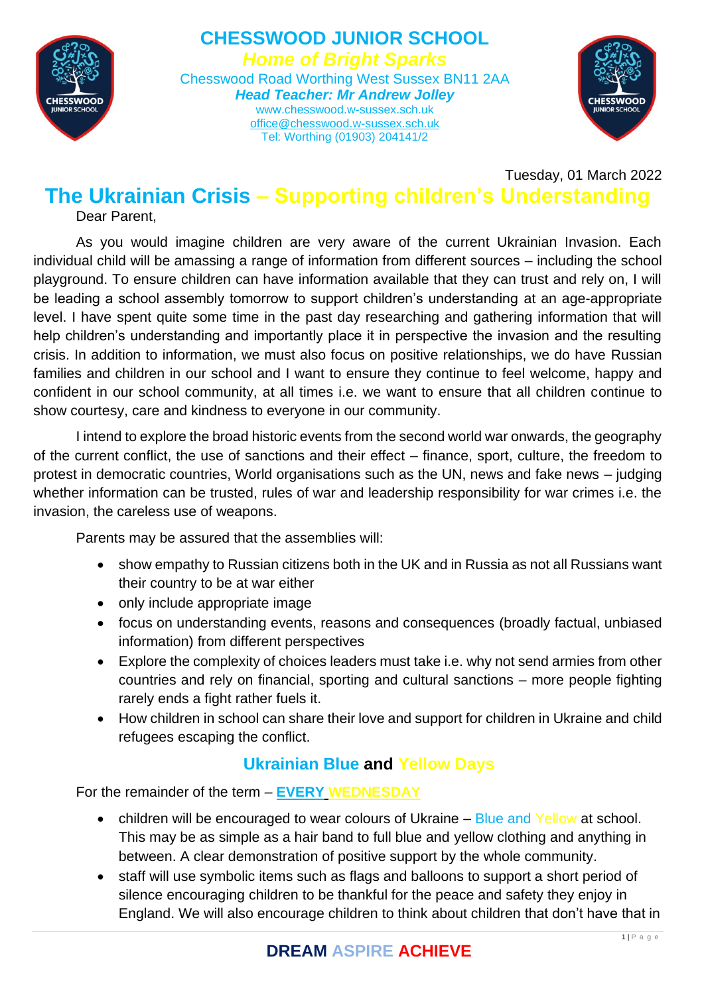

#### **CHESSWOOD JUNIOR SCHOOL** *Home of Bright Sparks* Chesswood Road Worthing West Sussex BN11 2AA *Head Teacher: Mr Andrew Jolley* www.chesswood.w-sussex.sch.uk [office@chesswood.w-sussex.sch.uk](mailto:office@chesswood.w-sussex.sch.uk) Tel: Worthing (01903) 204141/2



Tuesday, 01 March 2022

## **The Ukrainian Crisis – Supporting children's Understanding** Dear Parent,

As you would imagine children are very aware of the current Ukrainian Invasion. Each individual child will be amassing a range of information from different sources – including the school playground. To ensure children can have information available that they can trust and rely on, I will be leading a school assembly tomorrow to support children's understanding at an age-appropriate level. I have spent quite some time in the past day researching and gathering information that will help children's understanding and importantly place it in perspective the invasion and the resulting crisis. In addition to information, we must also focus on positive relationships, we do have Russian families and children in our school and I want to ensure they continue to feel welcome, happy and confident in our school community, at all times i.e. we want to ensure that all children continue to show courtesy, care and kindness to everyone in our community.

I intend to explore the broad historic events from the second world war onwards, the geography of the current conflict, the use of sanctions and their effect – finance, sport, culture, the freedom to protest in democratic countries, World organisations such as the UN, news and fake news – judging whether information can be trusted, rules of war and leadership responsibility for war crimes i.e. the invasion, the careless use of weapons.

Parents may be assured that the assemblies will:

- show empathy to Russian citizens both in the UK and in Russia as not all Russians want their country to be at war either
- only include appropriate image
- focus on understanding events, reasons and consequences (broadly factual, unbiased information) from different perspectives
- Explore the complexity of choices leaders must take i.e. why not send armies from other countries and rely on financial, sporting and cultural sanctions – more people fighting rarely ends a fight rather fuels it.
- How children in school can share their love and support for children in Ukraine and child refugees escaping the conflict.

## **Ukrainian Blue and Yellow Days**

For the remainder of the term – **EVERY WEDNESDAY**

- children will be encouraged to wear colours of Ukraine Blue and Yellow at school. This may be as simple as a hair band to full blue and yellow clothing and anything in between. A clear demonstration of positive support by the whole community.
- staff will use symbolic items such as flags and balloons to support a short period of silence encouraging children to be thankful for the peace and safety they enjoy in England. We will also encourage children to think about children that don't have that in